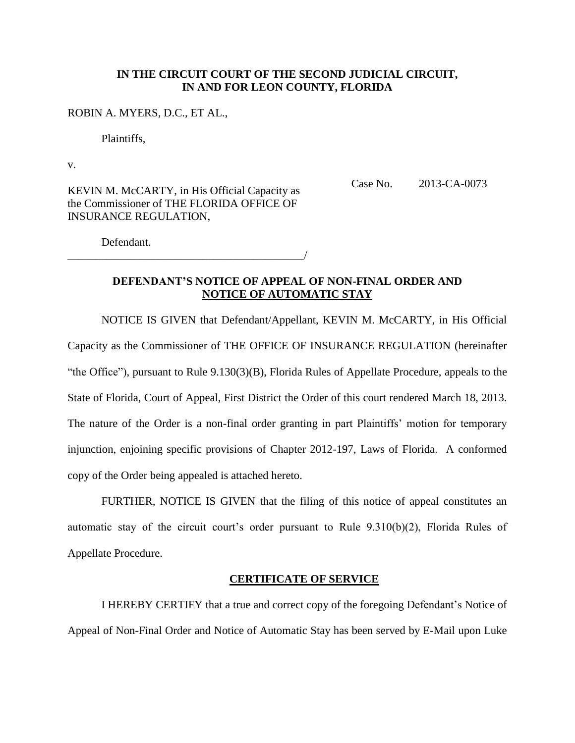## **IN THE CIRCUIT COURT OF THE SECOND JUDICIAL CIRCUIT, IN AND FOR LEON COUNTY, FLORIDA**

### ROBIN A. MYERS, D.C., ET AL.,

Plaintiffs,

v.

KEVIN M. McCARTY, in His Official Capacity as the Commissioner of THE FLORIDA OFFICE OF INSURANCE REGULATION,

\_\_\_\_\_\_\_\_\_\_\_\_\_\_\_\_\_\_\_\_\_\_\_\_\_\_\_\_\_\_\_\_\_\_\_\_\_\_\_\_\_\_/

Case No. 2013-CA-0073

Defendant.

# **DEFENDANT'S NOTICE OF APPEAL OF NON-FINAL ORDER AND NOTICE OF AUTOMATIC STAY**

NOTICE IS GIVEN that Defendant/Appellant, KEVIN M. McCARTY, in His Official Capacity as the Commissioner of THE OFFICE OF INSURANCE REGULATION (hereinafter "the Office"), pursuant to Rule 9.130(3)(B), Florida Rules of Appellate Procedure, appeals to the State of Florida, Court of Appeal, First District the Order of this court rendered March 18, 2013. The nature of the Order is a non-final order granting in part Plaintiffs' motion for temporary injunction, enjoining specific provisions of Chapter 2012-197, Laws of Florida. A conformed copy of the Order being appealed is attached hereto.

FURTHER, NOTICE IS GIVEN that the filing of this notice of appeal constitutes an automatic stay of the circuit court's order pursuant to Rule 9.310(b)(2), Florida Rules of Appellate Procedure.

#### **CERTIFICATE OF SERVICE**

I HEREBY CERTIFY that a true and correct copy of the foregoing Defendant's Notice of Appeal of Non-Final Order and Notice of Automatic Stay has been served by E-Mail upon Luke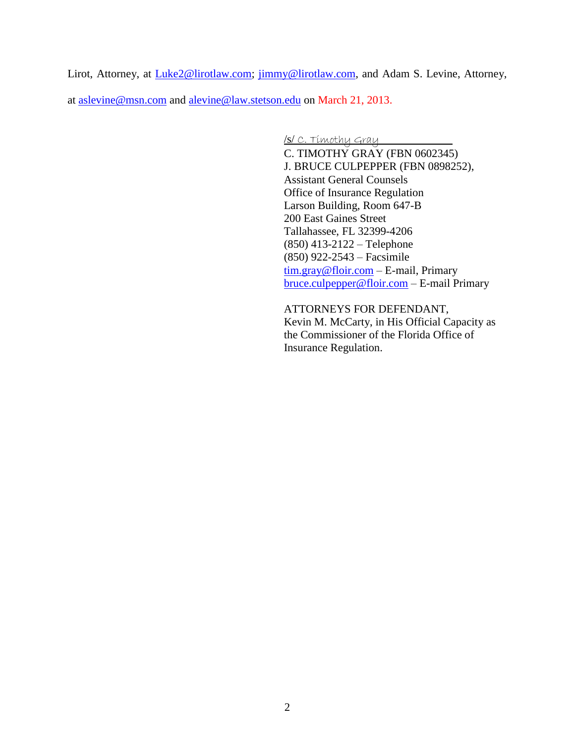Lirot, Attorney, at [Luke2@lirotlaw.com;](mailto:Luke2@lirotlaw.com) [jimmy@lirotlaw.com,](mailto:jimmy@lirotlaw.com) and Adam S. Levine, Attorney,

at [aslevine@msn.com](mailto:aslevine@msn.com) and [alevine@law.stetson.edu](mailto:alevine@law.stetson.edu) on March 21, 2013.

/s/ C. Timothy Gray

C. TIMOTHY GRAY (FBN 0602345) J. BRUCE CULPEPPER (FBN 0898252), Assistant General Counsels Office of Insurance Regulation Larson Building, Room 647-B 200 East Gaines Street Tallahassee, FL 32399-4206 (850) 413-2122 – Telephone (850) 922-2543 – Facsimile [tim.gray@floir.com](mailto:tim.gray@floir.com) – E-mail, Primary [bruce.culpepper@floir.com](mailto:bruce.culpepper@floir.com) – E-mail Primary

ATTORNEYS FOR DEFENDANT, Kevin M. McCarty, in His Official Capacity as the Commissioner of the Florida Office of Insurance Regulation.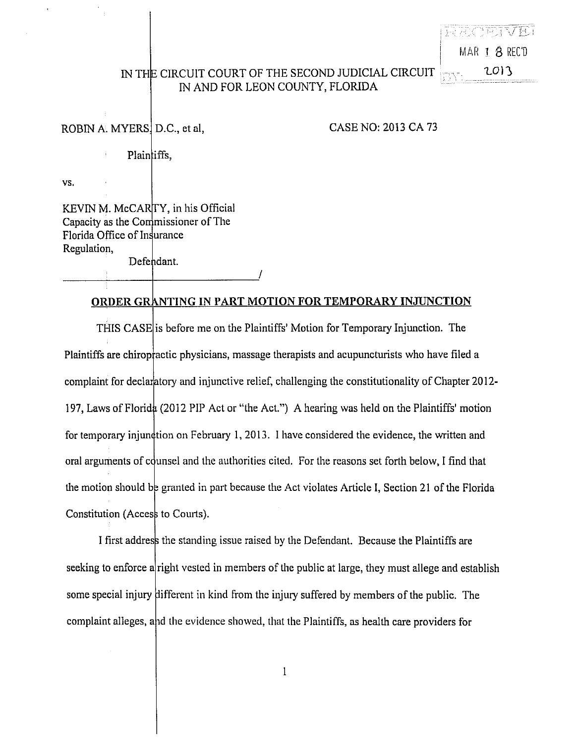MAR 18 REC'D 2013

# IN THE CIRCUIT COURT OF THE SECOND JUDICIAL CIRCUIT IN AND FOR LEON COUNTY, FLORIDA

ROBIN A. MYERS D.C., et al,

CASE NO: 2013 CA 73

Plaintiffs,

VS.

KEVIN M. McCARTY, in his Official Capacity as the Commissioner of The Florida Office of Insurance Regulation,

Defendant.

### ORDER GRANTING IN PART MOTION FOR TEMPORARY INJUNCTION

THIS CASE is before me on the Plaintiffs' Motion for Temporary Injunction. The Plaintiffs are chiropractic physicians, massage therapists and acupuncturists who have filed a complaint for declaratory and injunctive relief, challenging the constitutionality of Chapter 2012-197, Laws of Florida (2012 PIP Act or "the Act.") A hearing was held on the Plaintiffs' motion for temporary injundition on February 1, 2013. I have considered the evidence, the written and oral arguments of counsel and the authorities cited. For the reasons set forth below, I find that the motion should be granted in part because the Act violates Article I, Section 21 of the Florida Constitution (Access to Courts).

I first address the standing issue raised by the Defendant. Because the Plaintiffs are seeking to enforce a right vested in members of the public at large, they must allege and establish some special injury different in kind from the injury suffered by members of the public. The complaint alleges, and the evidence showed, that the Plaintiffs, as health care providers for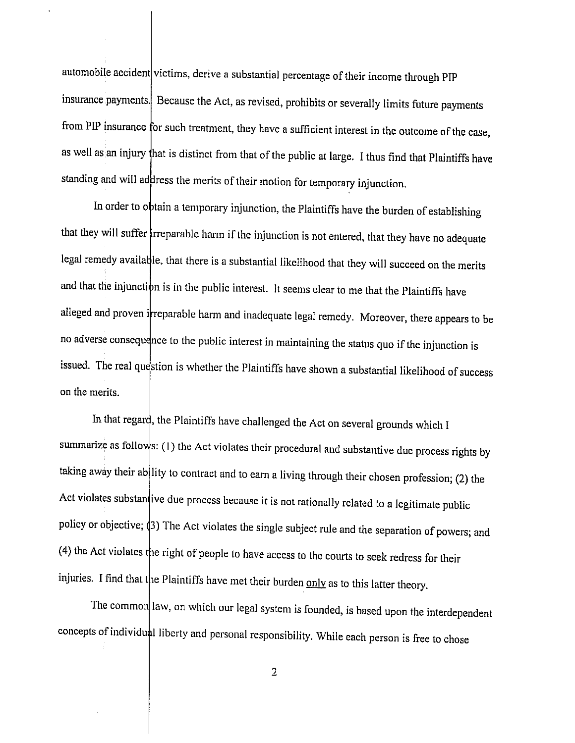automobile accident victims, derive a substantial percentage of their income through PIP insurance payments. Because the Act, as revised, prohibits or severally limits future payments from PIP insurance for such treatment, they have a sufficient interest in the outcome of the case, as well as an injury that is distinct from that of the public at large. I thus find that Plaintiffs have standing and will address the merits of their motion for temporary injunction.

In order to obtain a temporary injunction, the Plaintiffs have the burden of establishing that they will suffer trreparable harm if the injunction is not entered, that they have no adequate legal remedy available, that there is a substantial likelihood that they will succeed on the merits and that the injunction is in the public interest. It seems clear to me that the Plaintiffs have alleged and proven irreparable harm and inadequate legal remedy. Moreover, there appears to be no adverse consequence to the public interest in maintaining the status quo if the injunction is issued. The real question is whether the Plaintiffs have shown a substantial likelihood of success on the merits.

In that regard, the Plaintiffs have challenged the Act on several grounds which I summarize as follows: (1) the Act violates their procedural and substantive due process rights by taking away their ability to contract and to earn a living through their chosen profession; (2) the Act violates substantive due process because it is not rationally related to a legitimate public policy or objective; (3) The Act violates the single subject rule and the separation of powers; and (4) the Act violates the right of people to have access to the courts to seek redress for their injuries. I find that the Plaintiffs have met their burden only as to this latter theory.

The common law, on which our legal system is founded, is based upon the interdependent concepts of individual liberty and personal responsibility. While each person is free to chose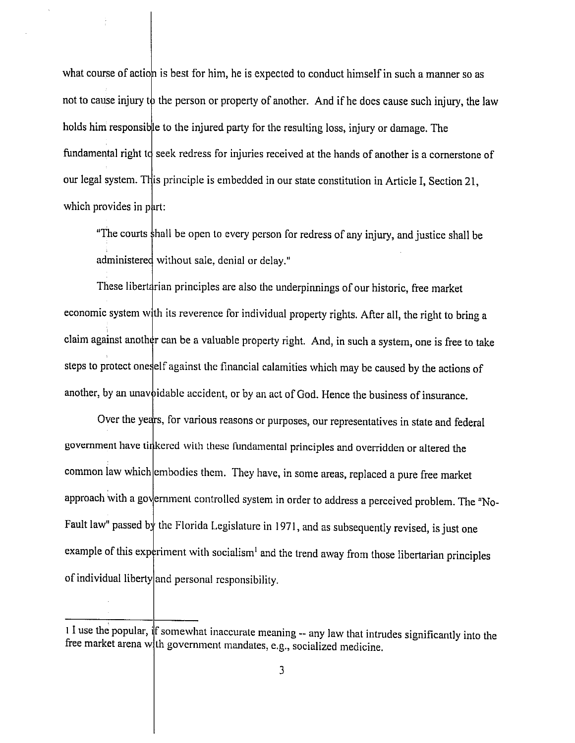what course of action is best for him, he is expected to conduct himself in such a manner so as not to cause injury to the person or property of another. And if he does cause such injury, the law holds him responsible to the injured party for the resulting loss, injury or damage. The fundamental right to seek redress for injuries received at the hands of another is a cornerstone of our legal system. This principle is embedded in our state constitution in Article I, Section 21, which provides in part:

"The courts shall be open to every person for redress of any injury, and justice shall be administered without sale, denial or delay."

These libertarian principles are also the underpinnings of our historic, free market economic system with its reverence for individual property rights. After all, the right to bring a claim against another can be a valuable property right. And, in such a system, one is free to take steps to protect oneself against the financial calamities which may be caused by the actions of another, by an unavoidable accident, or by an act of God. Hence the business of insurance.

Over the years, for various reasons or purposes, our representatives in state and federal government have tinkered with these fundamental principles and overridden or altered the common law which embodies them. They have, in some areas, replaced a pure free market approach with a government controlled system in order to address a perceived problem. The "No-Fault law" passed by the Florida Legislature in 1971, and as subsequently revised, is just one example of this experiment with socialism<sup>1</sup> and the trend away from those libertarian principles of individual liberty and personal responsibility.

 $\frac{1}{1}$  is the popular, if somewhat inaccurate meaning  $\frac{1}{1}$  any law that intrudes significantly into the free market arena with government mandates, e.g., socialized medicine.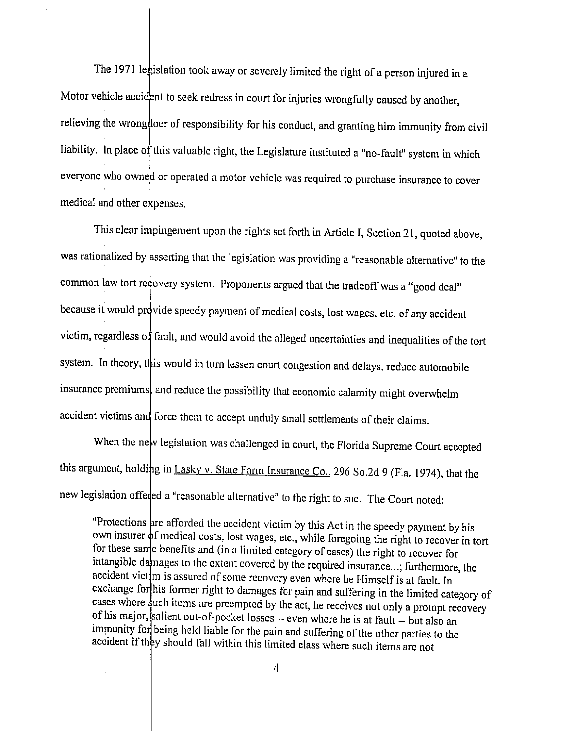The 1971 legislation took away or severely limited the right of a person injured in a Motor vehicle accident to seek redress in court for injuries wrongfully caused by another, relieving the wrong doer of responsibility for his conduct, and granting him immunity from civil liability. In place of this valuable right, the Legislature instituted a "no-fault" system in which everyone who owned or operated a motor vehicle was required to purchase insurance to cover medical and other expenses.

This clear impingement upon the rights set forth in Article I, Section 21, quoted above, was rationalized by asserting that the legislation was providing a "reasonable alternative" to the common law tort recovery system. Proponents argued that the tradeoff was a "good deal" because it would provide speedy payment of medical costs, lost wages, etc. of any accident victim, regardless of fault, and would avoid the alleged uncertainties and inequalities of the tort system. In theory, this would in turn lessen court congestion and delays, reduce automobile insurance premiums, and reduce the possibility that economic calamity might overwhelm accident victims and force them to accept unduly small settlements of their claims.

When the new legislation was challenged in court, the Florida Supreme Court accepted this argument, holding in Lasky v. State Farm Insurance Co., 296 So.2d 9 (Fla. 1974), that the new legislation offered a "reasonable alternative" to the right to sue. The Court noted:

"Protections are afforded the accident victim by this Act in the speedy payment by his own insurer  $\phi$ f medical costs, lost wages, etc., while foregoing the right to recover in tort for these same benefits and (in a limited category of cases) the right to recover for intangible damages to the extent covered by the required insurance...; furthermore, the accident victim is assured of some recovery even where he Himself is at fault. In exchange for his former right to damages for pain and suffering in the limited category of cases where such items are preempted by the act, he receives not only a prompt recovery of his major, salient out-of-pocket losses -- even where he is at fault -- but also an immunity for being held liable for the pain and suffering of the other parties to the accident if they should fall within this limited class where such items are not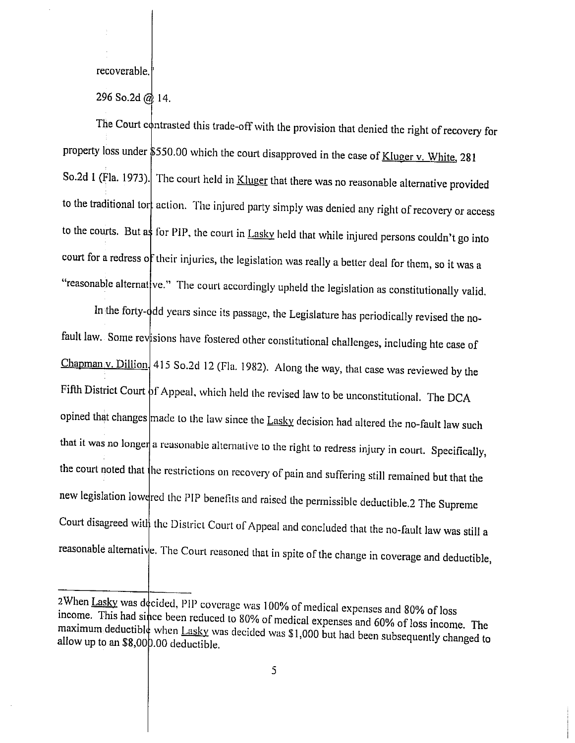recoverable.

296 So.2d @ 14.

The Court contrasted this trade-off with the provision that denied the right of recovery for property loss under \$550.00 which the court disapproved in the case of Kluger v. White, 281 So.2d 1 (Fla. 1973). The court held in Kluger that there was no reasonable alternative provided to the traditional tor action. The injured party simply was denied any right of recovery or access to the courts. But as for PIP, the court in Lasky held that while injured persons couldn't go into court for a redress of their injuries, the legislation was really a better deal for them, so it was a "reasonable alternat ve." The court accordingly upheld the legislation as constitutionally valid.

In the forty-odd years since its passage, the Legislature has periodically revised the nofault law. Some revisions have fostered other constitutional challenges, including hte case of Chapman<sub>1</sub>v. Dillion<sup>1</sup> 415 So.2d 12 (Fla. 1982). Along the way, that case was reviewed by the Fifth District Court of Appeal, which held the revised law to be unconstitutional. The DCA opined that changes made to the law since the Lasky decision had altered the no-fault law such that it was no longer a reasonable alternative to the right to redress injury in court. Specifically, the court noted that the restrictions on recovery of pain and suffering still remained but that the new legislation lowdred the PIP benefits and raised the permissible deductible.2 The Supreme Court disagreed with the District Court of Appeal and concluded that the no-fault law was still a reasonable alternative. The Court reasoned that in spite of the change in coverage and deductible,

<sup>2</sup>When Lasky was decided, PIP coverage was 100% of medical expenses and 80% of loss income. This had since been reduced to 80% of medical expenses and 60% of loss income. The maximum deductible when Lasky was decided was \$1,000 but had been subsequently changed to allow up to an \$8,000.00 deductible.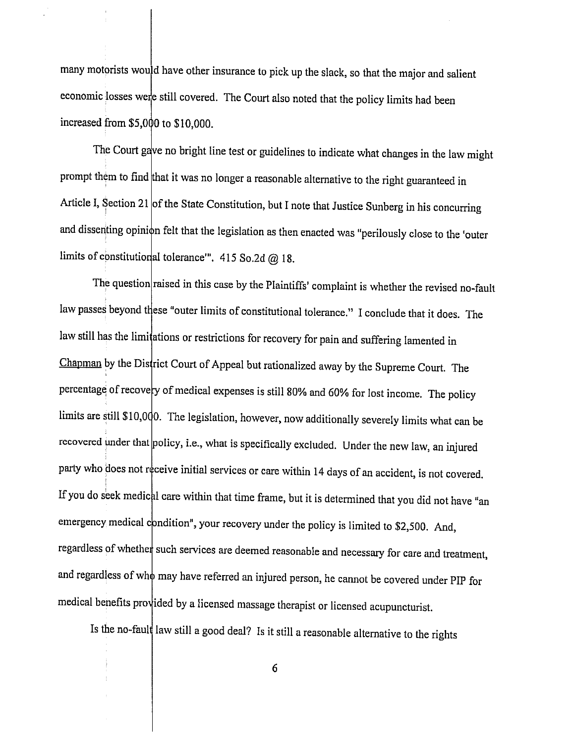many motorists would have other insurance to pick up the slack, so that the major and salient economic losses were still covered. The Court also noted that the policy limits had been increased from \$5,000 to \$10,000.

The Court gave no bright line test or guidelines to indicate what changes in the law might prompt them to find that it was no longer a reasonable alternative to the right guaranteed in Article I, Section 21 of the State Constitution, but I note that Justice Sunberg in his concurring and dissenting opinion felt that the legislation as then enacted was "perilously close to the 'outer limits of constitutional tolerance". 415 So.2d @ 18.

The question raised in this case by the Plaintiffs' complaint is whether the revised no-fault law passes beyond these "outer limits of constitutional tolerance." I conclude that it does. The law still has the limitations or restrictions for recovery for pain and suffering lamented in Chapman by the District Court of Appeal but rationalized away by the Supreme Court. The percentage of recovery of medical expenses is still 80% and 60% for lost income. The policy limits are still \$10,000. The legislation, however, now additionally severely limits what can be recovered under that policy, i.e., what is specifically excluded. Under the new law, an injured party who does not receive initial services or care within 14 days of an accident, is not covered. If you do seek medical care within that time frame, but it is determined that you did not have "an emergency medical condition", your recovery under the policy is limited to \$2,500. And, regardless of whether such services are deemed reasonable and necessary for care and treatment, and regardless of who may have referred an injured person, he cannot be covered under PIP for medical benefits provided by a licensed massage therapist or licensed acupuncturist.

Is the no-fault law still a good deal? Is it still a reasonable alternative to the rights